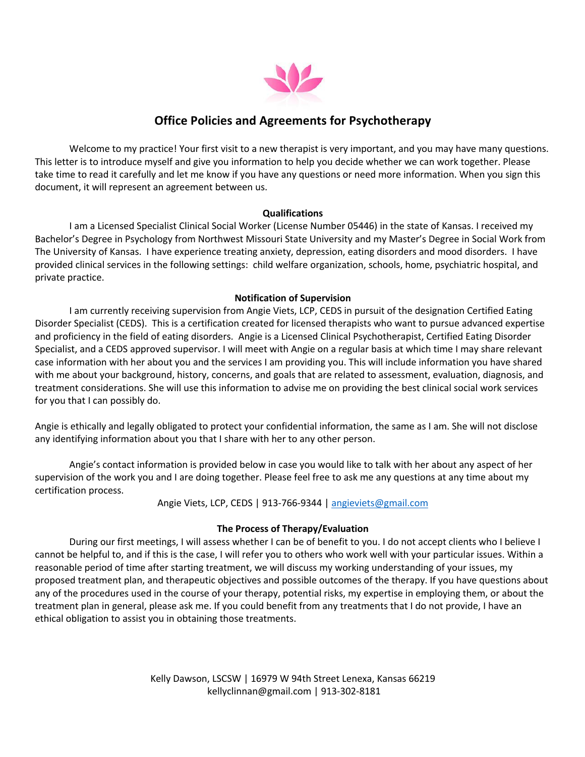

# **Office Policies and Agreements for Psychotherapy**

Welcome to my practice! Your first visit to a new therapist is very important, and you may have many questions. This letter is to introduce myself and give you information to help you decide whether we can work together. Please take time to read it carefully and let me know if you have any questions or need more information. When you sign this document, it will represent an agreement between us.

### **Qualifications**

I am a Licensed Specialist Clinical Social Worker (License Number 05446) in the state of Kansas. I received my Bachelor's Degree in Psychology from Northwest Missouri State University and my Master's Degree in Social Work from The University of Kansas. I have experience treating anxiety, depression, eating disorders and mood disorders. I have provided clinical services in the following settings: child welfare organization, schools, home, psychiatric hospital, and private practice.

# **Notification of Supervision**

I am currently receiving supervision from Angie Viets, LCP, CEDS in pursuit of the designation Certified Eating Disorder Specialist (CEDS). This is a certification created for licensed therapists who want to pursue advanced expertise and proficiency in the field of eating disorders. Angie is a Licensed Clinical Psychotherapist, Certified Eating Disorder Specialist, and a CEDS approved supervisor. I will meet with Angie on a regular basis at which time I may share relevant case information with her about you and the services I am providing you. This will include information you have shared with me about your background, history, concerns, and goals that are related to assessment, evaluation, diagnosis, and treatment considerations. She will use this information to advise me on providing the best clinical social work services for you that I can possibly do.

Angie is ethically and legally obligated to protect your confidential information, the same as I am. She will not disclose any identifying information about you that I share with her to any other person.

Angie's contact information is provided below in case you would like to talk with her about any aspect of her supervision of the work you and I are doing together. Please feel free to ask me any questions at any time about my certification process.

Angie Viets, LCP, CEDS | 913-766-9344 | angieviets@gmail.com

### **The Process of Therapy/Evaluation**

During our first meetings, I will assess whether I can be of benefit to you. I do not accept clients who I believe I cannot be helpful to, and if this is the case, I will refer you to others who work well with your particular issues. Within a reasonable period of time after starting treatment, we will discuss my working understanding of your issues, my proposed treatment plan, and therapeutic objectives and possible outcomes of the therapy. If you have questions about any of the procedures used in the course of your therapy, potential risks, my expertise in employing them, or about the treatment plan in general, please ask me. If you could benefit from any treatments that I do not provide, I have an ethical obligation to assist you in obtaining those treatments.

> Kelly Dawson, LSCSW | 16979 W 94th Street Lenexa, Kansas 66219 kellyclinnan@gmail.com | 913-302-8181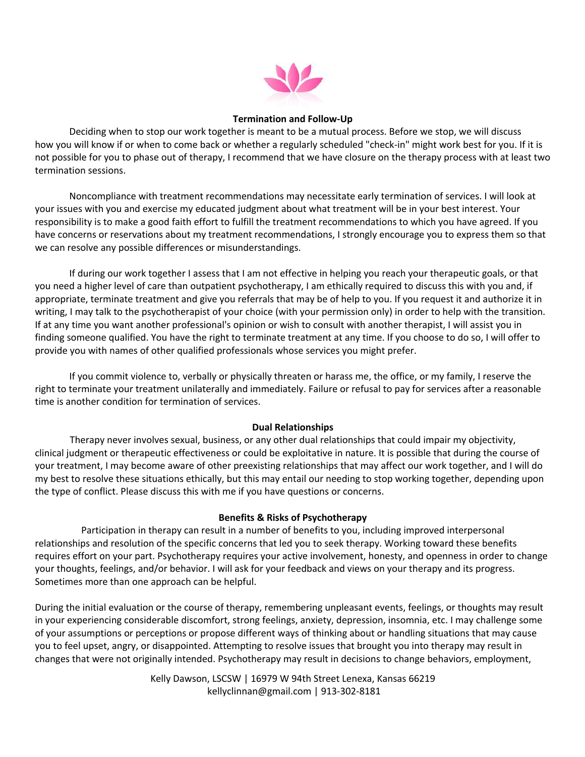

#### **Termination and Follow-Up**

Deciding when to stop our work together is meant to be a mutual process. Before we stop, we will discuss how you will know if or when to come back or whether a regularly scheduled "check-in" might work best for you. If it is not possible for you to phase out of therapy, I recommend that we have closure on the therapy process with at least two termination sessions.

Noncompliance with treatment recommendations may necessitate early termination of services. I will look at your issues with you and exercise my educated judgment about what treatment will be in your best interest. Your responsibility is to make a good faith effort to fulfill the treatment recommendations to which you have agreed. If you have concerns or reservations about my treatment recommendations, I strongly encourage you to express them so that we can resolve any possible differences or misunderstandings.

If during our work together I assess that I am not effective in helping you reach your therapeutic goals, or that you need a higher level of care than outpatient psychotherapy, I am ethically required to discuss this with you and, if appropriate, terminate treatment and give you referrals that may be of help to you. If you request it and authorize it in writing, I may talk to the psychotherapist of your choice (with your permission only) in order to help with the transition. If at any time you want another professional's opinion or wish to consult with another therapist, I will assist you in finding someone qualified. You have the right to terminate treatment at any time. If you choose to do so, I will offer to provide you with names of other qualified professionals whose services you might prefer.

If you commit violence to, verbally or physically threaten or harass me, the office, or my family, I reserve the right to terminate your treatment unilaterally and immediately. Failure or refusal to pay for services after a reasonable time is another condition for termination of services.

### **Dual Relationships**

Therapy never involves sexual, business, or any other dual relationships that could impair my objectivity, clinical judgment or therapeutic effectiveness or could be exploitative in nature. It is possible that during the course of your treatment, I may become aware of other preexisting relationships that may affect our work together, and I will do my best to resolve these situations ethically, but this may entail our needing to stop working together, depending upon the type of conflict. Please discuss this with me if you have questions or concerns.

## **Benefits & Risks of Psychotherapy**

Participation in therapy can result in a number of benefits to you, including improved interpersonal relationships and resolution of the specific concerns that led you to seek therapy. Working toward these benefits requires effort on your part. Psychotherapy requires your active involvement, honesty, and openness in order to change your thoughts, feelings, and/or behavior. I will ask for your feedback and views on your therapy and its progress. Sometimes more than one approach can be helpful.

During the initial evaluation or the course of therapy, remembering unpleasant events, feelings, or thoughts may result in your experiencing considerable discomfort, strong feelings, anxiety, depression, insomnia, etc. I may challenge some of your assumptions or perceptions or propose different ways of thinking about or handling situations that may cause you to feel upset, angry, or disappointed. Attempting to resolve issues that brought you into therapy may result in changes that were not originally intended. Psychotherapy may result in decisions to change behaviors, employment,

> Kelly Dawson, LSCSW | 16979 W 94th Street Lenexa, Kansas 66219 kellyclinnan@gmail.com | 913-302-8181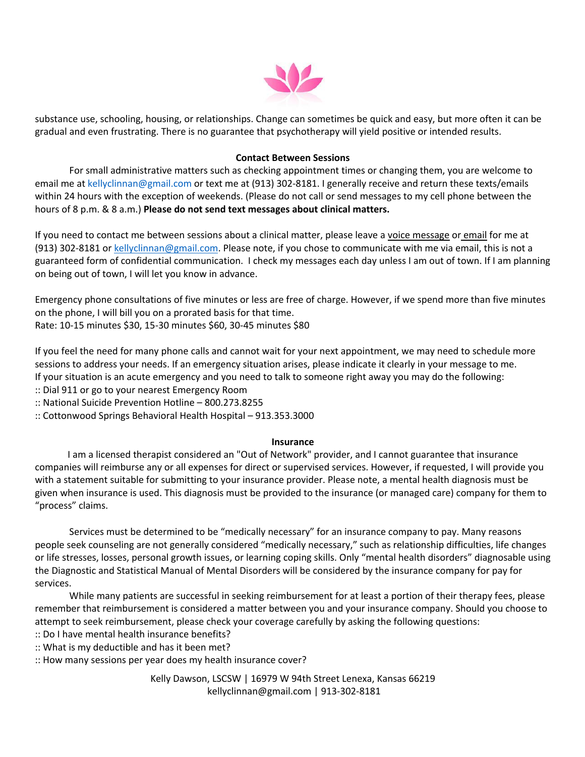

substance use, schooling, housing, or relationships. Change can sometimes be quick and easy, but more often it can be gradual and even frustrating. There is no guarantee that psychotherapy will yield positive or intended results.

### **Contact Between Sessions**

For small administrative matters such as checking appointment times or changing them, you are welcome to email me at kellyclinnan@gmail.com or text me at (913) 302-8181. I generally receive and return these texts/emails within 24 hours with the exception of weekends. (Please do not call or send messages to my cell phone between the hours of 8 p.m. & 8 a.m.) **Please do not send text messages about clinical matters.**

If you need to contact me between sessions about a clinical matter, please leave a voice message or email for me at (913) 302-8181 or kellyclinnan@gmail.com. Please note, if you chose to communicate with me via email, this is not a guaranteed form of confidential communication. I check my messages each day unless I am out of town. If I am planning on being out of town, I will let you know in advance.

Emergency phone consultations of five minutes or less are free of charge. However, if we spend more than five minutes on the phone, I will bill you on a prorated basis for that time. Rate: 10-15 minutes \$30, 15-30 minutes \$60, 30-45 minutes \$80

If you feel the need for many phone calls and cannot wait for your next appointment, we may need to schedule more sessions to address your needs. If an emergency situation arises, please indicate it clearly in your message to me. If your situation is an acute emergency and you need to talk to someone right away you may do the following:

:: Dial 911 or go to your nearest Emergency Room

:: National Suicide Prevention Hotline – 800.273.8255

:: Cottonwood Springs Behavioral Health Hospital – 913.353.3000

### **Insurance**

I am a licensed therapist considered an "Out of Network" provider, and I cannot guarantee that insurance companies will reimburse any or all expenses for direct or supervised services. However, if requested, I will provide you with a statement suitable for submitting to your insurance provider. Please note, a mental health diagnosis must be given when insurance is used. This diagnosis must be provided to the insurance (or managed care) company for them to "process" claims.

Services must be determined to be "medically necessary" for an insurance company to pay. Many reasons people seek counseling are not generally considered "medically necessary," such as relationship difficulties, life changes or life stresses, losses, personal growth issues, or learning coping skills. Only "mental health disorders" diagnosable using the Diagnostic and Statistical Manual of Mental Disorders will be considered by the insurance company for pay for services.

While many patients are successful in seeking reimbursement for at least a portion of their therapy fees, please remember that reimbursement is considered a matter between you and your insurance company. Should you choose to attempt to seek reimbursement, please check your coverage carefully by asking the following questions:

:: Do I have mental health insurance benefits?

:: What is my deductible and has it been met?

:: How many sessions per year does my health insurance cover?

Kelly Dawson, LSCSW | 16979 W 94th Street Lenexa, Kansas 66219 kellyclinnan@gmail.com | 913-302-8181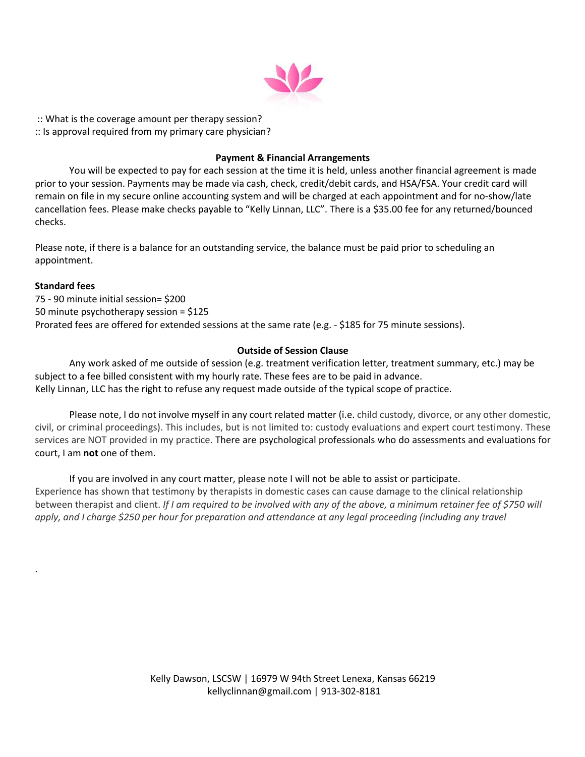

:: What is the coverage amount per therapy session? :: Is approval required from my primary care physician?

## **Payment & Financial Arrangements**

You will be expected to pay for each session at the time it is held, unless another financial agreement is made prior to your session. Payments may be made via cash, check, credit/debit cards, and HSA/FSA. Your credit card will remain on file in my secure online accounting system and will be charged at each appointment and for no-show/late cancellation fees. Please make checks payable to "Kelly Linnan, LLC". There is a \$35.00 fee for any returned/bounced checks.

Please note, if there is a balance for an outstanding service, the balance must be paid prior to scheduling an appointment.

### **Standard fees**

.

75 - 90 minute initial session= \$200 50 minute psychotherapy session = \$125 Prorated fees are offered for extended sessions at the same rate (e.g. - \$185 for 75 minute sessions).

### **Outside of Session Clause**

Any work asked of me outside of session (e.g. treatment verification letter, treatment summary, etc.) may be subject to a fee billed consistent with my hourly rate. These fees are to be paid in advance. Kelly Linnan, LLC has the right to refuse any request made outside of the typical scope of practice.

Please note, I do not involve myself in any court related matter (i.e. child custody, divorce, or any other domestic, civil, or criminal proceedings). This includes, but is not limited to: custody evaluations and expert court testimony. These services are NOT provided in my practice. There are psychological professionals who do assessments and evaluations for court, I am **not** one of them.

If you are involved in any court matter, please note I will not be able to assist or participate. Experience has shown that testimony by therapists in domestic cases can cause damage to the clinical relationship between therapist and client. *If I am required to be involved with any of the above, a minimum retainer fee of \$750 will apply, and I charge \$250 per hour for preparation and attendance at any legal proceeding (including any travel*